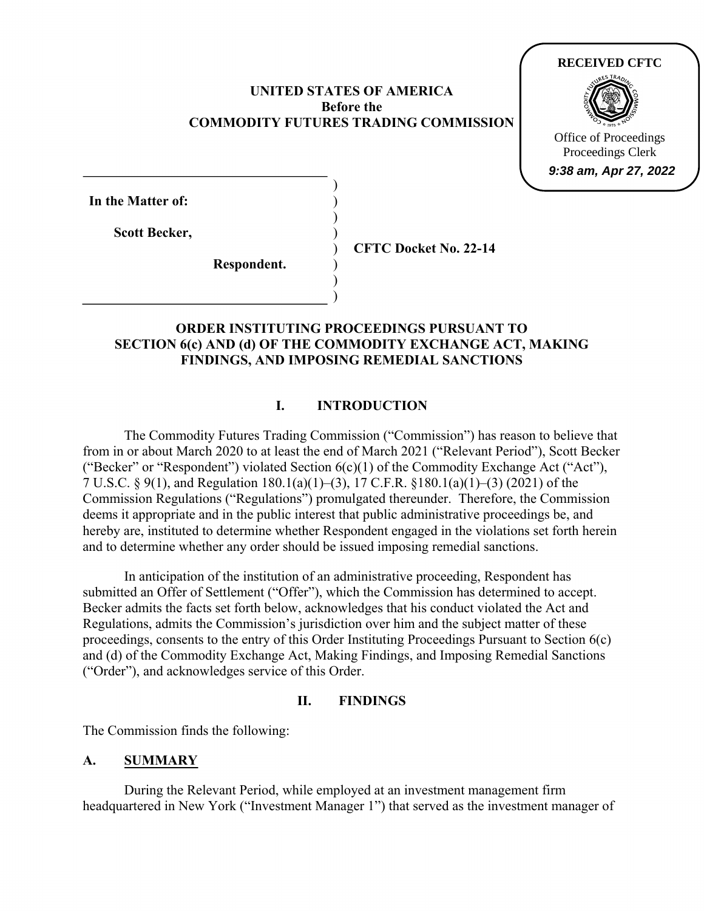## **UNITED STATES OF AMERICA Before the COMMODITY FUTURES TRADING COMMISSION**

) ) ) ) ) ) ) )



**In the Matter of:** 

**Scott Becker,** 

**CFTC Docket No. 22-14**

# **Respondent.**

## **ORDER INSTITUTING PROCEEDINGS PURSUANT TO SECTION 6(c) AND (d) OF THE COMMODITY EXCHANGE ACT, MAKING FINDINGS, AND IMPOSING REMEDIAL SANCTIONS**

# **I. INTRODUCTION**

The Commodity Futures Trading Commission ("Commission") has reason to believe that from in or about March 2020 to at least the end of March 2021 ("Relevant Period"), Scott Becker ("Becker" or "Respondent") violated Section  $6(c)(1)$  of the Commodity Exchange Act ("Act"), 7 U.S.C. § 9(1), and Regulation 180.1(a)(1)–(3), 17 C.F.R. §180.1(a)(1)–(3) (2021) of the Commission Regulations ("Regulations") promulgated thereunder. Therefore, the Commission deems it appropriate and in the public interest that public administrative proceedings be, and hereby are, instituted to determine whether Respondent engaged in the violations set forth herein and to determine whether any order should be issued imposing remedial sanctions.

In anticipation of the institution of an administrative proceeding, Respondent has submitted an Offer of Settlement ("Offer"), which the Commission has determined to accept. Becker admits the facts set forth below, acknowledges that his conduct violated the Act and Regulations, admits the Commission's jurisdiction over him and the subject matter of these proceedings, consents to the entry of this Order Instituting Proceedings Pursuant to Section 6(c) and (d) of the Commodity Exchange Act, Making Findings, and Imposing Remedial Sanctions ("Order"), and acknowledges service of this Order.

## **II. FINDINGS**

The Commission finds the following:

# **A. SUMMARY**

During the Relevant Period, while employed at an investment management firm headquartered in New York ("Investment Manager 1") that served as the investment manager of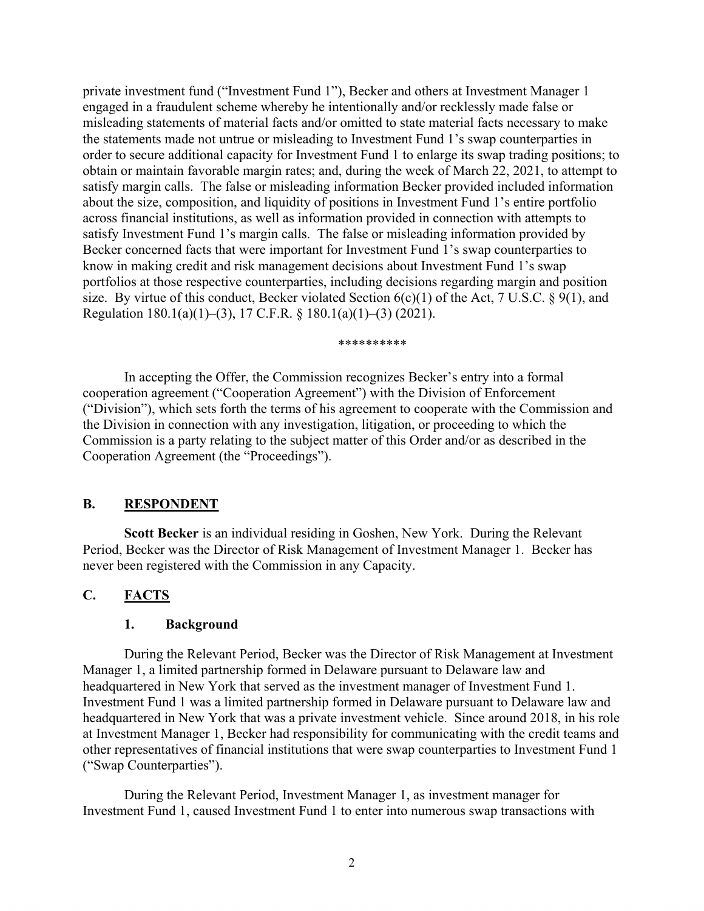private investment fund ("Investment Fund 1"), Becker and others at Investment Manager 1 engaged in a fraudulent scheme whereby he intentionally and/or recklessly made false or misleading statements of material facts and/or omitted to state material facts necessary to make the statements made not untrue or misleading to Investment Fund 1's swap counterparties in order to secure additional capacity for Investment Fund 1 to enlarge its swap trading positions; to obtain or maintain favorable margin rates; and, during the week of March 22, 2021, to attempt to satisfy margin calls. The false or misleading information Becker provided included information about the size, composition, and liquidity of positions in Investment Fund 1's entire portfolio across financial institutions, as well as information provided in connection with attempts to satisfy Investment Fund 1's margin calls. The false or misleading information provided by Becker concerned facts that were important for Investment Fund 1's swap counterparties to know in making credit and risk management decisions about Investment Fund 1's swap portfolios at those respective counterparties, including decisions regarding margin and position size. By virtue of this conduct, Becker violated Section  $6(c)(1)$  of the Act, 7 U.S.C. § 9(1), and Regulation 180.1(a)(1)–(3), 17 C.F.R. § 180.1(a)(1)–(3) (2021).

\*\*\*\*\*\*\*\*\*\*

 In accepting the Offer, the Commission recognizes Becker's entry into a formal cooperation agreement ("Cooperation Agreement") with the Division of Enforcement ("Division"), which sets forth the terms of his agreement to cooperate with the Commission and the Division in connection with any investigation, litigation, or proceeding to which the Commission is a party relating to the subject matter of this Order and/or as described in the Cooperation Agreement (the "Proceedings").

## **B. RESPONDENT**

**Scott Becker** is an individual residing in Goshen, New York. During the Relevant Period, Becker was the Director of Risk Management of Investment Manager 1. Becker has never been registered with the Commission in any Capacity.

## **C. FACTS**

#### **1. Background**

During the Relevant Period, Becker was the Director of Risk Management at Investment Manager 1, a limited partnership formed in Delaware pursuant to Delaware law and headquartered in New York that served as the investment manager of Investment Fund 1. Investment Fund 1 was a limited partnership formed in Delaware pursuant to Delaware law and headquartered in New York that was a private investment vehicle. Since around 2018, in his role at Investment Manager 1, Becker had responsibility for communicating with the credit teams and other representatives of financial institutions that were swap counterparties to Investment Fund 1 ("Swap Counterparties").

During the Relevant Period, Investment Manager 1, as investment manager for Investment Fund 1, caused Investment Fund 1 to enter into numerous swap transactions with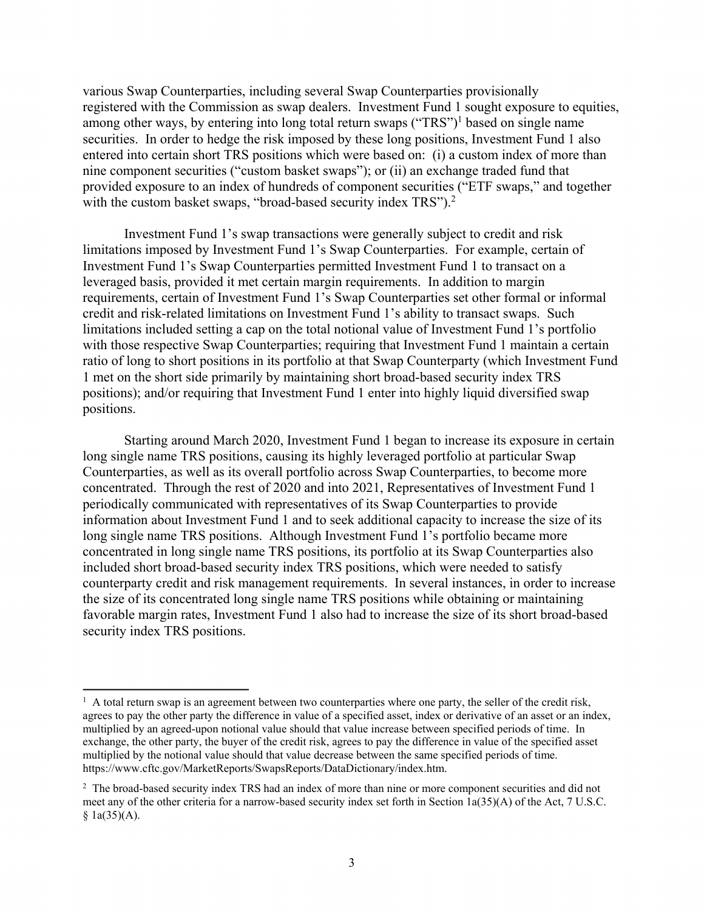various Swap Counterparties, including several Swap Counterparties provisionally registered with the Commission as swap dealers. Investment Fund 1 sought exposure to equities, among other ways, by entering into long total return swaps ("TRS")<sup>1</sup> based on single name securities. In order to hedge the risk imposed by these long positions, Investment Fund 1 also entered into certain short TRS positions which were based on: (i) a custom index of more than nine component securities ("custom basket swaps"); or (ii) an exchange traded fund that provided exposure to an index of hundreds of component securities ("ETF swaps," and together with the custom basket swaps, "broad-based security index  $TRS$ ").<sup>2</sup>

Investment Fund 1's swap transactions were generally subject to credit and risk limitations imposed by Investment Fund 1's Swap Counterparties. For example, certain of Investment Fund 1's Swap Counterparties permitted Investment Fund 1 to transact on a leveraged basis, provided it met certain margin requirements. In addition to margin requirements, certain of Investment Fund 1's Swap Counterparties set other formal or informal credit and risk-related limitations on Investment Fund 1's ability to transact swaps. Such limitations included setting a cap on the total notional value of Investment Fund 1's portfolio with those respective Swap Counterparties; requiring that Investment Fund 1 maintain a certain ratio of long to short positions in its portfolio at that Swap Counterparty (which Investment Fund 1 met on the short side primarily by maintaining short broad-based security index TRS positions); and/or requiring that Investment Fund 1 enter into highly liquid diversified swap positions.

Starting around March 2020, Investment Fund 1 began to increase its exposure in certain long single name TRS positions, causing its highly leveraged portfolio at particular Swap Counterparties, as well as its overall portfolio across Swap Counterparties, to become more concentrated. Through the rest of 2020 and into 2021, Representatives of Investment Fund 1 periodically communicated with representatives of its Swap Counterparties to provide information about Investment Fund 1 and to seek additional capacity to increase the size of its long single name TRS positions. Although Investment Fund 1's portfolio became more concentrated in long single name TRS positions, its portfolio at its Swap Counterparties also included short broad-based security index TRS positions, which were needed to satisfy counterparty credit and risk management requirements. In several instances, in order to increase the size of its concentrated long single name TRS positions while obtaining or maintaining favorable margin rates, Investment Fund 1 also had to increase the size of its short broad-based security index TRS positions.

 $\overline{a}$ <sup>1</sup> A total return swap is an agreement between two counterparties where one party, the seller of the credit risk, agrees to pay the other party the difference in value of a specified asset, index or derivative of an asset or an index, multiplied by an agreed-upon notional value should that value increase between specified periods of time. In exchange, the other party, the buyer of the credit risk, agrees to pay the difference in value of the specified asset multiplied by the notional value should that value decrease between the same specified periods of time. https://www.cftc.gov/MarketReports/SwapsReports/DataDictionary/index.htm.

<sup>&</sup>lt;sup>2</sup> The broad-based security index TRS had an index of more than nine or more component securities and did not meet any of the other criteria for a narrow-based security index set forth in Section 1a(35)(A) of the Act, 7 U.S.C.  $§ 1a(35)(A).$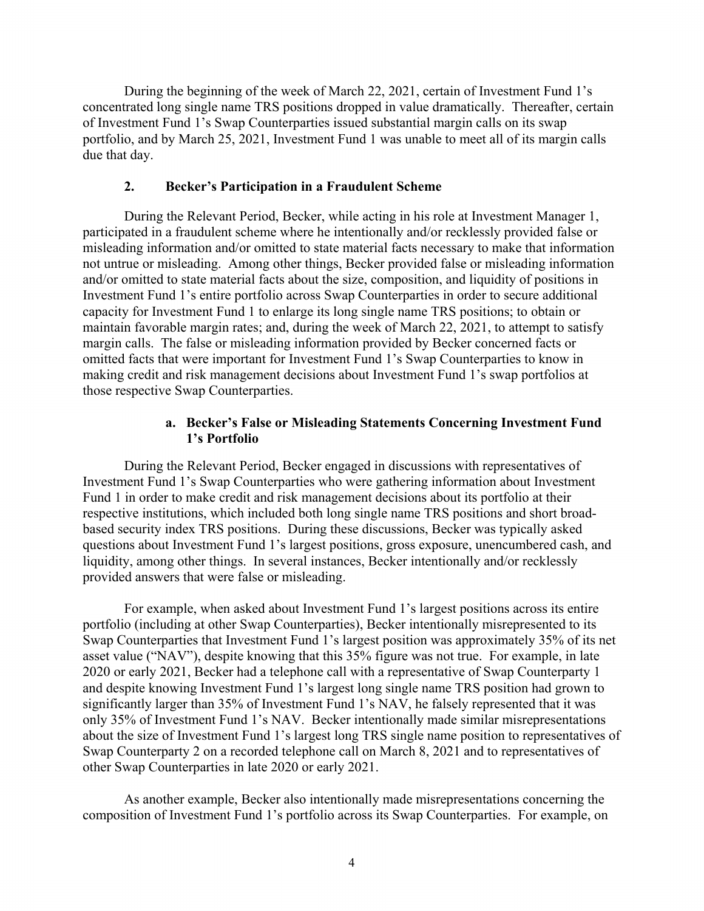During the beginning of the week of March 22, 2021, certain of Investment Fund 1's concentrated long single name TRS positions dropped in value dramatically. Thereafter, certain of Investment Fund 1's Swap Counterparties issued substantial margin calls on its swap portfolio, and by March 25, 2021, Investment Fund 1 was unable to meet all of its margin calls due that day.

#### **2. Becker's Participation in a Fraudulent Scheme**

During the Relevant Period, Becker, while acting in his role at Investment Manager 1, participated in a fraudulent scheme where he intentionally and/or recklessly provided false or misleading information and/or omitted to state material facts necessary to make that information not untrue or misleading. Among other things, Becker provided false or misleading information and/or omitted to state material facts about the size, composition, and liquidity of positions in Investment Fund 1's entire portfolio across Swap Counterparties in order to secure additional capacity for Investment Fund 1 to enlarge its long single name TRS positions; to obtain or maintain favorable margin rates; and, during the week of March 22, 2021, to attempt to satisfy margin calls. The false or misleading information provided by Becker concerned facts or omitted facts that were important for Investment Fund 1's Swap Counterparties to know in making credit and risk management decisions about Investment Fund 1's swap portfolios at those respective Swap Counterparties.

#### **a. Becker's False or Misleading Statements Concerning Investment Fund 1's Portfolio**

During the Relevant Period, Becker engaged in discussions with representatives of Investment Fund 1's Swap Counterparties who were gathering information about Investment Fund 1 in order to make credit and risk management decisions about its portfolio at their respective institutions, which included both long single name TRS positions and short broadbased security index TRS positions. During these discussions, Becker was typically asked questions about Investment Fund 1's largest positions, gross exposure, unencumbered cash, and liquidity, among other things. In several instances, Becker intentionally and/or recklessly provided answers that were false or misleading.

For example, when asked about Investment Fund 1's largest positions across its entire portfolio (including at other Swap Counterparties), Becker intentionally misrepresented to its Swap Counterparties that Investment Fund 1's largest position was approximately 35% of its net asset value ("NAV"), despite knowing that this 35% figure was not true. For example, in late 2020 or early 2021, Becker had a telephone call with a representative of Swap Counterparty 1 and despite knowing Investment Fund 1's largest long single name TRS position had grown to significantly larger than 35% of Investment Fund 1's NAV, he falsely represented that it was only 35% of Investment Fund 1's NAV. Becker intentionally made similar misrepresentations about the size of Investment Fund 1's largest long TRS single name position to representatives of Swap Counterparty 2 on a recorded telephone call on March 8, 2021 and to representatives of other Swap Counterparties in late 2020 or early 2021.

As another example, Becker also intentionally made misrepresentations concerning the composition of Investment Fund 1's portfolio across its Swap Counterparties. For example, on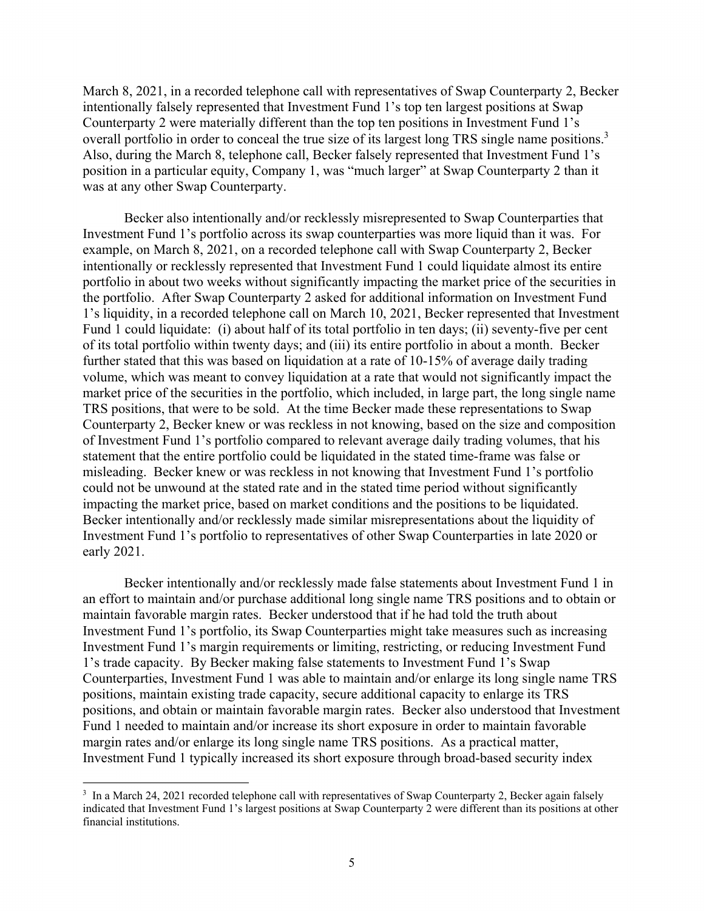March 8, 2021, in a recorded telephone call with representatives of Swap Counterparty 2, Becker intentionally falsely represented that Investment Fund 1's top ten largest positions at Swap Counterparty 2 were materially different than the top ten positions in Investment Fund 1's overall portfolio in order to conceal the true size of its largest long TRS single name positions.<sup>3</sup> Also, during the March 8, telephone call, Becker falsely represented that Investment Fund 1's position in a particular equity, Company 1, was "much larger" at Swap Counterparty 2 than it was at any other Swap Counterparty.

Becker also intentionally and/or recklessly misrepresented to Swap Counterparties that Investment Fund 1's portfolio across its swap counterparties was more liquid than it was. For example, on March 8, 2021, on a recorded telephone call with Swap Counterparty 2, Becker intentionally or recklessly represented that Investment Fund 1 could liquidate almost its entire portfolio in about two weeks without significantly impacting the market price of the securities in the portfolio. After Swap Counterparty 2 asked for additional information on Investment Fund 1's liquidity, in a recorded telephone call on March 10, 2021, Becker represented that Investment Fund 1 could liquidate: (i) about half of its total portfolio in ten days; (ii) seventy-five per cent of its total portfolio within twenty days; and (iii) its entire portfolio in about a month. Becker further stated that this was based on liquidation at a rate of 10-15% of average daily trading volume, which was meant to convey liquidation at a rate that would not significantly impact the market price of the securities in the portfolio, which included, in large part, the long single name TRS positions, that were to be sold. At the time Becker made these representations to Swap Counterparty 2, Becker knew or was reckless in not knowing, based on the size and composition of Investment Fund 1's portfolio compared to relevant average daily trading volumes, that his statement that the entire portfolio could be liquidated in the stated time-frame was false or misleading. Becker knew or was reckless in not knowing that Investment Fund 1's portfolio could not be unwound at the stated rate and in the stated time period without significantly impacting the market price, based on market conditions and the positions to be liquidated. Becker intentionally and/or recklessly made similar misrepresentations about the liquidity of Investment Fund 1's portfolio to representatives of other Swap Counterparties in late 2020 or early 2021.

Becker intentionally and/or recklessly made false statements about Investment Fund 1 in an effort to maintain and/or purchase additional long single name TRS positions and to obtain or maintain favorable margin rates. Becker understood that if he had told the truth about Investment Fund 1's portfolio, its Swap Counterparties might take measures such as increasing Investment Fund 1's margin requirements or limiting, restricting, or reducing Investment Fund 1's trade capacity. By Becker making false statements to Investment Fund 1's Swap Counterparties, Investment Fund 1 was able to maintain and/or enlarge its long single name TRS positions, maintain existing trade capacity, secure additional capacity to enlarge its TRS positions, and obtain or maintain favorable margin rates. Becker also understood that Investment Fund 1 needed to maintain and/or increase its short exposure in order to maintain favorable margin rates and/or enlarge its long single name TRS positions. As a practical matter, Investment Fund 1 typically increased its short exposure through broad-based security index

 $\overline{a}$ 

<sup>&</sup>lt;sup>3</sup> In a March 24, 2021 recorded telephone call with representatives of Swap Counterparty 2, Becker again falsely indicated that Investment Fund 1's largest positions at Swap Counterparty 2 were different than its positions at other financial institutions.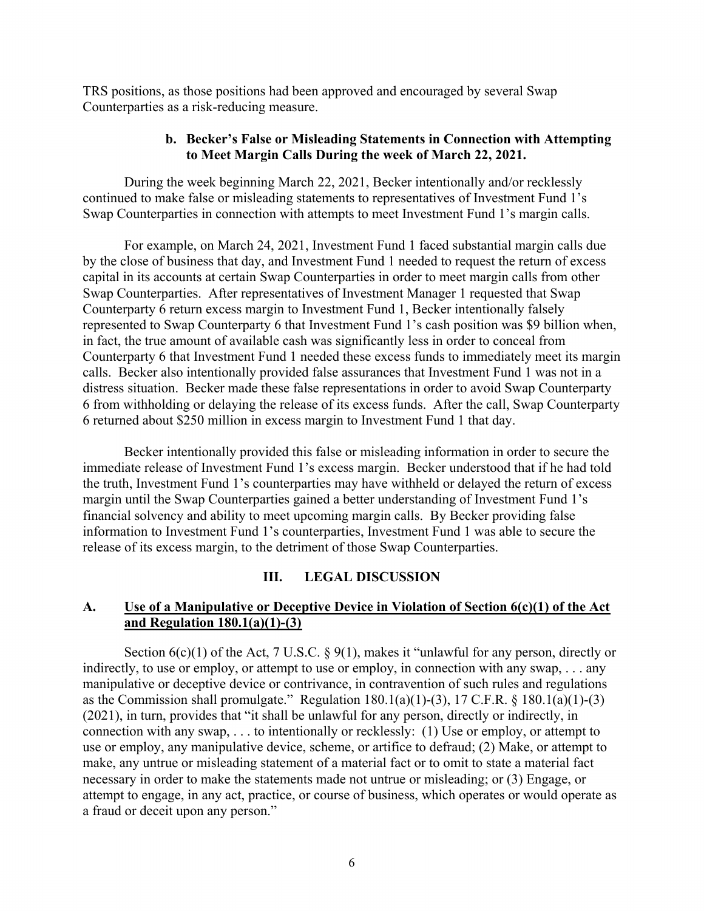TRS positions, as those positions had been approved and encouraged by several Swap Counterparties as a risk-reducing measure.

## **b. Becker's False or Misleading Statements in Connection with Attempting to Meet Margin Calls During the week of March 22, 2021.**

During the week beginning March 22, 2021, Becker intentionally and/or recklessly continued to make false or misleading statements to representatives of Investment Fund 1's Swap Counterparties in connection with attempts to meet Investment Fund 1's margin calls.

For example, on March 24, 2021, Investment Fund 1 faced substantial margin calls due by the close of business that day, and Investment Fund 1 needed to request the return of excess capital in its accounts at certain Swap Counterparties in order to meet margin calls from other Swap Counterparties. After representatives of Investment Manager 1 requested that Swap Counterparty 6 return excess margin to Investment Fund 1, Becker intentionally falsely represented to Swap Counterparty 6 that Investment Fund 1's cash position was \$9 billion when, in fact, the true amount of available cash was significantly less in order to conceal from Counterparty 6 that Investment Fund 1 needed these excess funds to immediately meet its margin calls. Becker also intentionally provided false assurances that Investment Fund 1 was not in a distress situation. Becker made these false representations in order to avoid Swap Counterparty 6 from withholding or delaying the release of its excess funds. After the call, Swap Counterparty 6 returned about \$250 million in excess margin to Investment Fund 1 that day.

Becker intentionally provided this false or misleading information in order to secure the immediate release of Investment Fund 1's excess margin. Becker understood that if he had told the truth, Investment Fund 1's counterparties may have withheld or delayed the return of excess margin until the Swap Counterparties gained a better understanding of Investment Fund 1's financial solvency and ability to meet upcoming margin calls. By Becker providing false information to Investment Fund 1's counterparties, Investment Fund 1 was able to secure the release of its excess margin, to the detriment of those Swap Counterparties.

#### **III. LEGAL DISCUSSION**

## **A. Use of a Manipulative or Deceptive Device in Violation of Section 6(c)(1) of the Act and Regulation 180.1(a)(1)-(3)**

Section  $6(c)(1)$  of the Act, 7 U.S.C. § 9(1), makes it "unlawful for any person, directly or indirectly, to use or employ, or attempt to use or employ, in connection with any swap, . . . any manipulative or deceptive device or contrivance, in contravention of such rules and regulations as the Commission shall promulgate." Regulation  $180.1(a)(1)-(3)$ ,  $17$  C.F.R. §  $180.1(a)(1)-(3)$ (2021), in turn, provides that "it shall be unlawful for any person, directly or indirectly, in connection with any swap, . . . to intentionally or recklessly: (1) Use or employ, or attempt to use or employ, any manipulative device, scheme, or artifice to defraud; (2) Make, or attempt to make, any untrue or misleading statement of a material fact or to omit to state a material fact necessary in order to make the statements made not untrue or misleading; or (3) Engage, or attempt to engage, in any act, practice, or course of business, which operates or would operate as a fraud or deceit upon any person."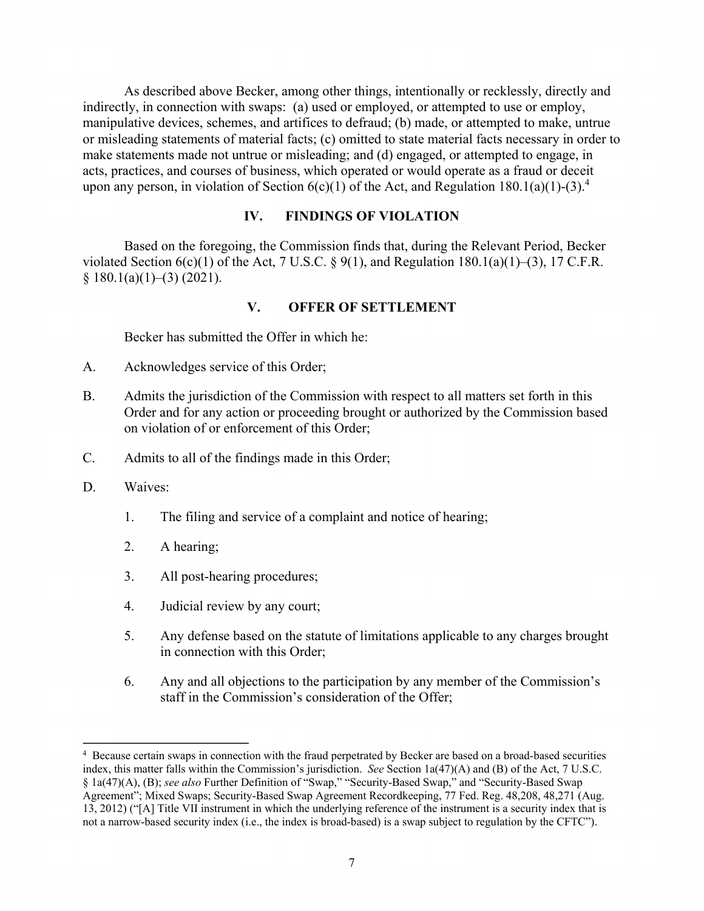As described above Becker, among other things, intentionally or recklessly, directly and indirectly, in connection with swaps: (a) used or employed, or attempted to use or employ, manipulative devices, schemes, and artifices to defraud; (b) made, or attempted to make, untrue or misleading statements of material facts; (c) omitted to state material facts necessary in order to make statements made not untrue or misleading; and (d) engaged, or attempted to engage, in acts, practices, and courses of business, which operated or would operate as a fraud or deceit upon any person, in violation of Section  $6(c)(1)$  of the Act, and Regulation 180.1(a)(1)-(3).<sup>4</sup>

## **IV. FINDINGS OF VIOLATION**

Based on the foregoing, the Commission finds that, during the Relevant Period, Becker violated Section  $6(c)(1)$  of the Act, 7 U.S.C. § 9(1), and Regulation 180.1(a)(1)–(3), 17 C.F.R.  $§ 180.1(a)(1)–(3) (2021).$ 

## **V. OFFER OF SETTLEMENT**

Becker has submitted the Offer in which he:

- A. Acknowledges service of this Order;
- B. Admits the jurisdiction of the Commission with respect to all matters set forth in this Order and for any action or proceeding brought or authorized by the Commission based on violation of or enforcement of this Order;
- C. Admits to all of the findings made in this Order;
- D. Waives:

 $\overline{a}$ 

- 1. The filing and service of a complaint and notice of hearing;
- 2. A hearing;
- 3. All post-hearing procedures;
- 4. Judicial review by any court;
- 5. Any defense based on the statute of limitations applicable to any charges brought in connection with this Order;
- 6. Any and all objections to the participation by any member of the Commission's staff in the Commission's consideration of the Offer;

<sup>&</sup>lt;sup>4</sup> Because certain swaps in connection with the fraud perpetrated by Becker are based on a broad-based securities index, this matter falls within the Commission's jurisdiction. *See* Section 1a(47)(A) and (B) of the Act, 7 U.S.C. § 1a(47)(A), (B); *see also* Further Definition of "Swap," "Security-Based Swap," and "Security-Based Swap Agreement"; Mixed Swaps; Security-Based Swap Agreement Recordkeeping, 77 Fed. Reg. 48,208, 48,271 (Aug. 13, 2012) ("[A] Title VII instrument in which the underlying reference of the instrument is a security index that is not a narrow-based security index (i.e., the index is broad-based) is a swap subject to regulation by the CFTC").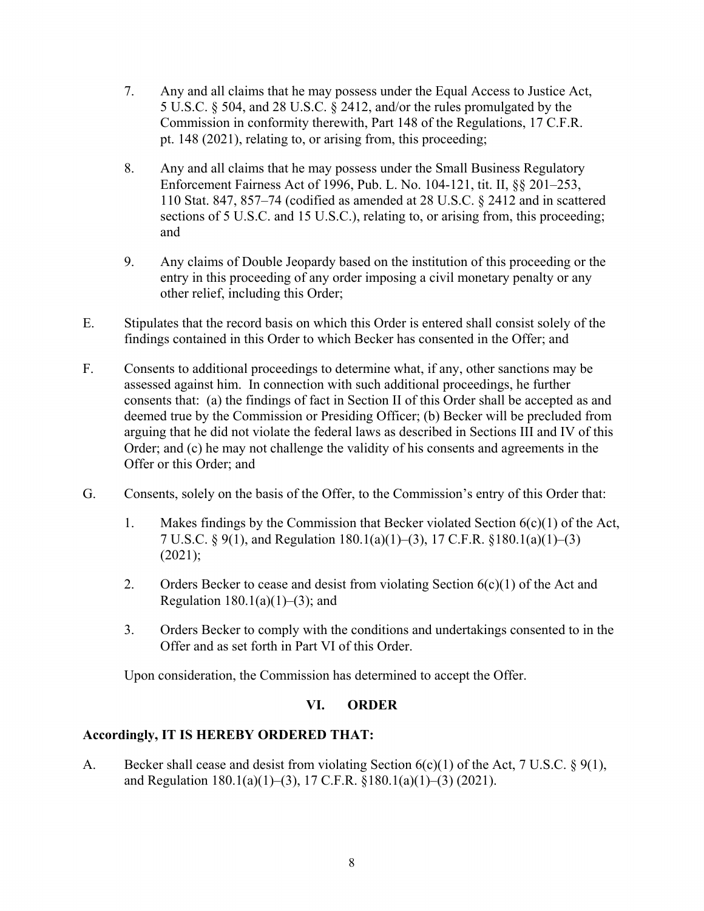- 7. Any and all claims that he may possess under the Equal Access to Justice Act, 5 U.S.C. § 504, and 28 U.S.C. § 2412, and/or the rules promulgated by the Commission in conformity therewith, Part 148 of the Regulations, 17 C.F.R. pt. 148 (2021), relating to, or arising from, this proceeding;
- 8. Any and all claims that he may possess under the Small Business Regulatory Enforcement Fairness Act of 1996, Pub. L. No. 104-121, tit. II, §§ 201–253, 110 Stat. 847, 857–74 (codified as amended at 28 U.S.C. § 2412 and in scattered sections of 5 U.S.C. and 15 U.S.C.), relating to, or arising from, this proceeding; and
- 9. Any claims of Double Jeopardy based on the institution of this proceeding or the entry in this proceeding of any order imposing a civil monetary penalty or any other relief, including this Order;
- E. Stipulates that the record basis on which this Order is entered shall consist solely of the findings contained in this Order to which Becker has consented in the Offer; and
- F. Consents to additional proceedings to determine what, if any, other sanctions may be assessed against him. In connection with such additional proceedings, he further consents that: (a) the findings of fact in Section II of this Order shall be accepted as and deemed true by the Commission or Presiding Officer; (b) Becker will be precluded from arguing that he did not violate the federal laws as described in Sections III and IV of this Order; and (c) he may not challenge the validity of his consents and agreements in the Offer or this Order; and
- G. Consents, solely on the basis of the Offer, to the Commission's entry of this Order that:
	- 1. Makes findings by the Commission that Becker violated Section 6(c)(1) of the Act, 7 U.S.C. § 9(1), and Regulation 180.1(a)(1)–(3), 17 C.F.R. §180.1(a)(1)–(3)  $(2021);$
	- 2. Orders Becker to cease and desist from violating Section  $6(c)(1)$  of the Act and Regulation  $180.1(a)(1)–(3)$ ; and
	- 3. Orders Becker to comply with the conditions and undertakings consented to in the Offer and as set forth in Part VI of this Order.

Upon consideration, the Commission has determined to accept the Offer.

# **VI. ORDER**

# **Accordingly, IT IS HEREBY ORDERED THAT:**

A. Becker shall cease and desist from violating Section 6(c)(1) of the Act, 7 U.S.C. § 9(1), and Regulation 180.1(a)(1)–(3), 17 C.F.R. §180.1(a)(1)–(3) (2021).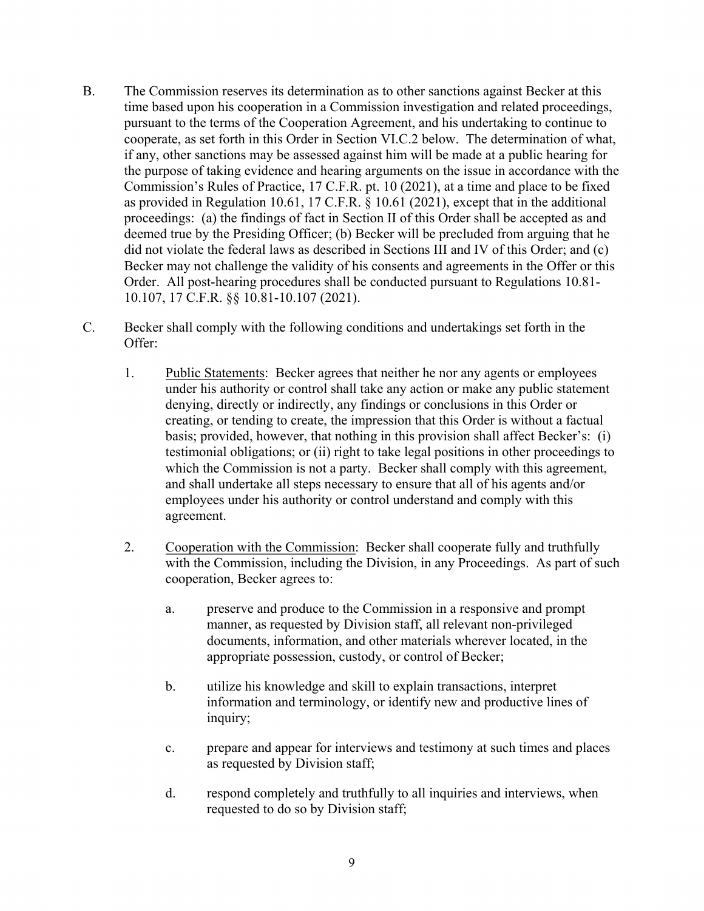- B. The Commission reserves its determination as to other sanctions against Becker at this time based upon his cooperation in a Commission investigation and related proceedings, pursuant to the terms of the Cooperation Agreement, and his undertaking to continue to cooperate, as set forth in this Order in Section VI.C.2 below. The determination of what, if any, other sanctions may be assessed against him will be made at a public hearing for the purpose of taking evidence and hearing arguments on the issue in accordance with the Commission's Rules of Practice, 17 C.F.R. pt. 10 (2021), at a time and place to be fixed as provided in Regulation 10.61, 17 C.F.R. § 10.61 (2021), except that in the additional proceedings: (a) the findings of fact in Section II of this Order shall be accepted as and deemed true by the Presiding Officer; (b) Becker will be precluded from arguing that he did not violate the federal laws as described in Sections III and IV of this Order; and (c) Becker may not challenge the validity of his consents and agreements in the Offer or this Order. All post-hearing procedures shall be conducted pursuant to Regulations 10.81- 10.107, 17 C.F.R. §§ 10.81-10.107 (2021).
- C. Becker shall comply with the following conditions and undertakings set forth in the Offer:
	- 1. Public Statements: Becker agrees that neither he nor any agents or employees under his authority or control shall take any action or make any public statement denying, directly or indirectly, any findings or conclusions in this Order or creating, or tending to create, the impression that this Order is without a factual basis; provided, however, that nothing in this provision shall affect Becker's: (i) testimonial obligations; or (ii) right to take legal positions in other proceedings to which the Commission is not a party. Becker shall comply with this agreement, and shall undertake all steps necessary to ensure that all of his agents and/or employees under his authority or control understand and comply with this agreement.
	- 2. Cooperation with the Commission: Becker shall cooperate fully and truthfully with the Commission, including the Division, in any Proceedings. As part of such cooperation, Becker agrees to:
		- a. preserve and produce to the Commission in a responsive and prompt manner, as requested by Division staff, all relevant non-privileged documents, information, and other materials wherever located, in the appropriate possession, custody, or control of Becker;
		- b. utilize his knowledge and skill to explain transactions, interpret information and terminology, or identify new and productive lines of inquiry;
		- c. prepare and appear for interviews and testimony at such times and places as requested by Division staff;
		- d. respond completely and truthfully to all inquiries and interviews, when requested to do so by Division staff;